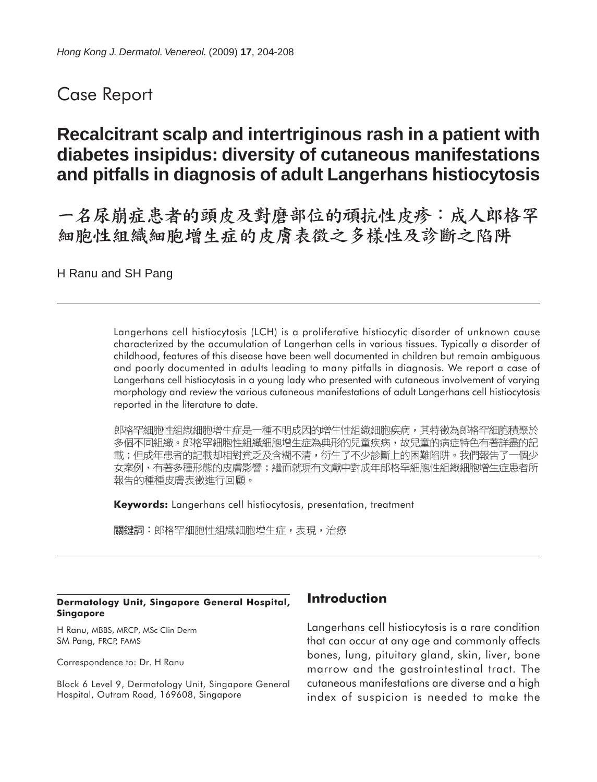## Case Report

# **Recalcitrant scalp and intertriginous rash in a patient with diabetes insipidus: diversity of cutaneous manifestations and pitfalls in diagnosis of adult Langerhans histiocytosis**

一名尿崩症患者的頭皮及對磨部位的頑抗性皮疹︰成人郎格罕 細胞性組織細胞增生症的皮膚表徵之多樣性及診斷之陷阱

H Ranu and SH Pang

Langerhans cell histiocytosis (LCH) is a proliferative histiocytic disorder of unknown cause characterized by the accumulation of Langerhan cells in various tissues. Typically a disorder of childhood, features of this disease have been well documented in children but remain ambiguous and poorly documented in adults leading to many pitfalls in diagnosis. We report a case of Langerhans cell histiocytosis in a young lady who presented with cutaneous involvement of varying morphology and review the various cutaneous manifestations of adult Langerhans cell histiocytosis reported in the literature to date.

郎格罕細胞性組織細胞增生症是一種不明成因的增生性組織細胞疾病,其特徵為郎格罕細胞積聚於 多個不同組織。郎格罕細胞性組織細胞增生症為典形的兒童疾病,故兒童的病症特色有著詳盡的記 載;但成年患者的記載却相對貧乏及含糊不清,衍生了不少診斷上的困難陷阱。我們報告了一個少 女案例,有著多種形態的皮膚影響;繼而就現有文獻中對成年郎格罕細胞性組織細胞增生症患者所 報告的種種皮膚表徵進行回顧。

**Keywords:** Langerhans cell histiocytosis, presentation, treatment

關鍵詞:郎格罕細胞性組織細胞增生症,表現,治療

#### **Dermatology Unit, Singapore General Hospital, Singapore**

H Ranu, MBBS, MRCP, MSc Clin Derm SM Pang, FRCP, FAMS

Correspondence to: Dr. H Ranu

Block 6 Level 9, Dermatology Unit, Singapore General Hospital, Outram Road, 169608, Singapore

### **Introduction**

Langerhans cell histiocytosis is a rare condition that can occur at any age and commonly affects bones, lung, pituitary gland, skin, liver, bone marrow and the gastrointestinal tract. The cutaneous manifestations are diverse and a high index of suspicion is needed to make the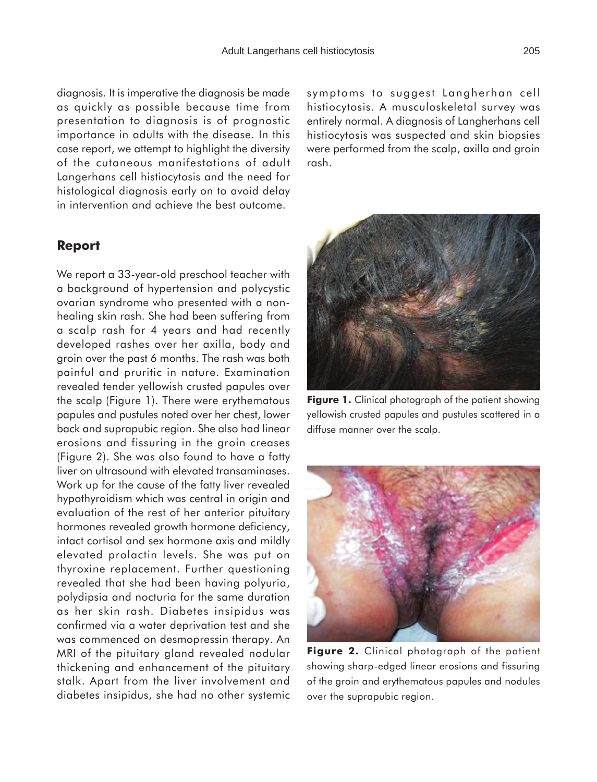diagnosis. It is imperative the diagnosis be made as quickly as possible because time from presentation to diagnosis is of prognostic importance in adults with the disease. In this case report, we attempt to highlight the diversity of the cutaneous manifestations of adult Langerhans cell histiocytosis and the need for histological diagnosis early on to avoid delay in intervention and achieve the best outcome.

#### **Report**

We report a 33-year-old preschool teacher with a background of hypertension and polycystic ovarian syndrome who presented with a nonhealing skin rash. She had been suffering from a scalp rash for 4 years and had recently developed rashes over her axilla, body and groin over the past 6 months. The rash was both painful and pruritic in nature. Examination revealed tender yellowish crusted papules over the scalp (Figure 1). There were erythematous papules and pustules noted over her chest, lower back and suprapubic region. She also had linear erosions and fissuring in the groin creases (Figure 2). She was also found to have a fatty liver on ultrasound with elevated transaminases. Work up for the cause of the fatty liver revealed hypothyroidism which was central in origin and evaluation of the rest of her anterior pituitary hormones revealed growth hormone deficiency, intact cortisol and sex hormone axis and mildly elevated prolactin levels. She was put on thyroxine replacement. Further questioning revealed that she had been having polyuria, polydipsia and nocturia for the same duration as her skin rash. Diabetes insipidus was confirmed via a water deprivation test and she was commenced on desmopressin therapy. An MRI of the pituitary gland revealed nodular thickening and enhancement of the pituitary stalk. Apart from the liver involvement and diabetes insipidus, she had no other systemic symptoms to suggest Langherhan cell histiocytosis. A musculoskeletal survey was entirely normal. A diagnosis of Langherhans cell histiocytosis was suspected and skin biopsies were performed from the scalp, axilla and groin rash.



**Figure 1.** Clinical photograph of the patient showing yellowish crusted papules and pustules scattered in a diffuse manner over the scalp.



**Figure 2.** Clinical photograph of the patient showing sharp-edged linear erosions and fissuring of the groin and erythematous papules and nodules over the suprapubic region.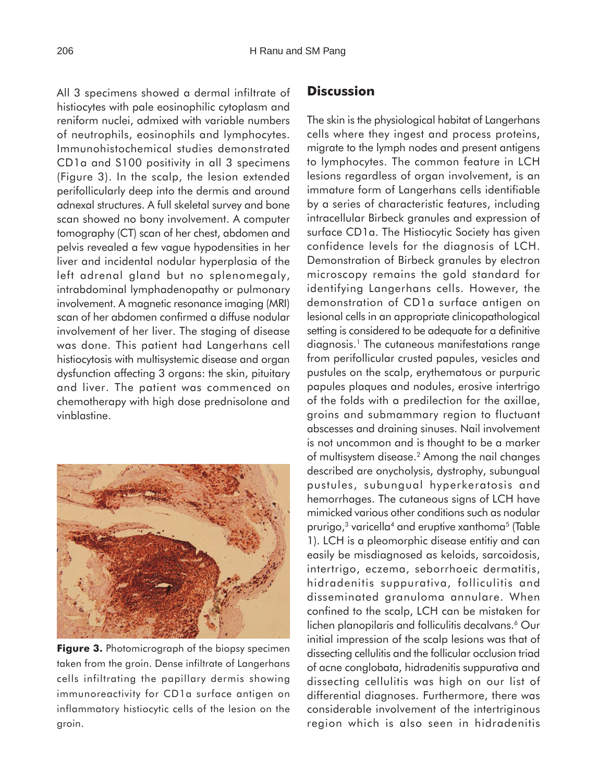All 3 specimens showed a dermal infiltrate of histiocytes with pale eosinophilic cytoplasm and reniform nuclei, admixed with variable numbers of neutrophils, eosinophils and lymphocytes. Immunohistochemical studies demonstrated CD1a and S100 positivity in all 3 specimens (Figure 3). In the scalp, the lesion extended perifollicularly deep into the dermis and around adnexal structures. A full skeletal survey and bone scan showed no bony involvement. A computer tomography (CT) scan of her chest, abdomen and pelvis revealed a few vague hypodensities in her liver and incidental nodular hyperplasia of the left adrenal gland but no splenomegaly, intrabdominal lymphadenopathy or pulmonary involvement. A magnetic resonance imaging (MRI) scan of her abdomen confirmed a diffuse nodular involvement of her liver. The staging of disease was done. This patient had Langerhans cell histiocytosis with multisystemic disease and organ dysfunction affecting 3 organs: the skin, pituitary and liver. The patient was commenced on chemotherapy with high dose prednisolone and vinblastine.



**Figure 3.** Photomicrograph of the biopsy specimen taken from the groin. Dense infiltrate of Langerhans cells infiltrating the papillary dermis showing immunoreactivity for CD1a surface antigen on inflammatory histiocytic cells of the lesion on the groin.

### **Discussion**

The skin is the physiological habitat of Langerhans cells where they ingest and process proteins, migrate to the lymph nodes and present antigens to lymphocytes. The common feature in LCH lesions regardless of organ involvement, is an immature form of Langerhans cells identifiable by a series of characteristic features, including intracellular Birbeck granules and expression of surface CD1a. The Histiocytic Society has given confidence levels for the diagnosis of LCH. Demonstration of Birbeck granules by electron microscopy remains the gold standard for identifying Langerhans cells. However, the demonstration of CD1a surface antigen on lesional cells in an appropriate clinicopathological setting is considered to be adequate for a definitive diagnosis.1 The cutaneous manifestations range from perifollicular crusted papules, vesicles and pustules on the scalp, erythematous or purpuric papules plaques and nodules, erosive intertrigo of the folds with a predilection for the axillae, groins and submammary region to fluctuant abscesses and draining sinuses. Nail involvement is not uncommon and is thought to be a marker of multisystem disease.2 Among the nail changes described are onycholysis, dystrophy, subungual pustules, subungual hyperkeratosis and hemorrhages. The cutaneous signs of LCH have mimicked various other conditions such as nodular prurigo, $3$  varicella<sup>4</sup> and eruptive xanthoma<sup>5</sup> (Table 1). LCH is a pleomorphic disease entitiy and can easily be misdiagnosed as keloids, sarcoidosis, intertrigo, eczema, seborrhoeic dermatitis, hidradenitis suppurativa, folliculitis and disseminated granuloma annulare. When confined to the scalp, LCH can be mistaken for lichen planopilaris and folliculitis decalvans.<sup>6</sup> Our initial impression of the scalp lesions was that of dissecting cellulitis and the follicular occlusion triad of acne conglobata, hidradenitis suppurativa and dissecting cellulitis was high on our list of differential diagnoses. Furthermore, there was considerable involvement of the intertriginous region which is also seen in hidradenitis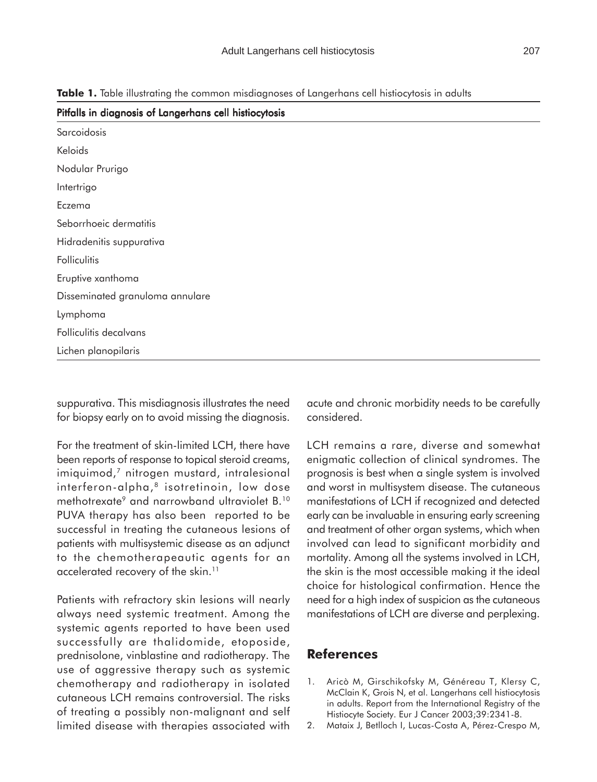| Pitfalls in diagnosis of Langerhans cell histiocytosis |
|--------------------------------------------------------|
| Sarcoidosis                                            |
| Keloids                                                |
| Nodular Prurigo                                        |
| Intertrigo                                             |
| Eczema                                                 |
| Seborrhoeic dermatitis                                 |
| Hidradenitis suppurativa                               |
| Folliculitis                                           |
| Eruptive xanthoma                                      |
| Disseminated granuloma annulare                        |
| Lymphoma                                               |
| Folliculitis decalvans                                 |
| Lichen planopilaris                                    |

**Table 1.** Table illustrating the common misdiagnoses of Langerhans cell histiocytosis in adults

suppurativa. This misdiagnosis illustrates the need for biopsy early on to avoid missing the diagnosis.

For the treatment of skin-limited LCH, there have been reports of response to topical steroid creams, imiquimod,<sup>7</sup> nitrogen mustard, intralesional interferon-alpha,<sup>8</sup> isotretinoin, low dose methotrexate<sup>9</sup> and narrowband ultraviolet B.<sup>10</sup> PUVA therapy has also been reported to be successful in treating the cutaneous lesions of patients with multisystemic disease as an adjunct to the chemotherapeautic agents for an accelerated recovery of the skin.<sup>11</sup>

Patients with refractory skin lesions will nearly always need systemic treatment. Among the systemic agents reported to have been used successfully are thalidomide, etoposide, prednisolone, vinblastine and radiotherapy. The use of aggressive therapy such as systemic chemotherapy and radiotherapy in isolated cutaneous LCH remains controversial. The risks of treating a possibly non-malignant and self limited disease with therapies associated with

acute and chronic morbidity needs to be carefully considered.

LCH remains a rare, diverse and somewhat enigmatic collection of clinical syndromes. The prognosis is best when a single system is involved and worst in multisystem disease. The cutaneous manifestations of LCH if recognized and detected early can be invaluable in ensuring early screening and treatment of other organ systems, which when involved can lead to significant morbidity and mortality. Among all the systems involved in LCH, the skin is the most accessible making it the ideal choice for histological confirmation. Hence the need for a high index of suspicion as the cutaneous manifestations of LCH are diverse and perplexing.

#### **References**

- 1. Aricò M, Girschikofsky M, Généreau T, Klersy C, McClain K, Grois N, et al. Langerhans cell histiocytosis in adults. Report from the International Registry of the Histiocyte Society. Eur J Cancer 2003;39:2341-8.
- 2. Mataix J, Betlloch I, Lucas-Costa A, Pérez-Crespo M,